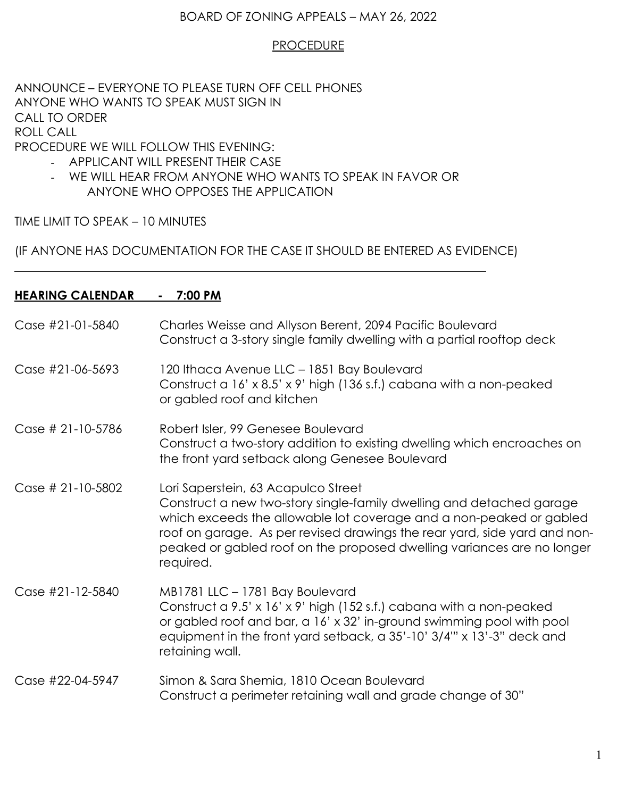## BOARD OF ZONING APPEALS – MAY 26, 2022

## **PROCEDURE**

ANNOUNCE – EVERYONE TO PLEASE TURN OFF CELL PHONES ANYONE WHO WANTS TO SPEAK MUST SIGN IN CALL TO ORDER ROLL CALL PROCEDURE WE WILL FOLLOW THIS EVENING:

- APPLICANT WILL PRESENT THEIR CASE
- WE WILL HEAR FROM ANYONE WHO WANTS TO SPEAK IN FAVOR OR ANYONE WHO OPPOSES THE APPLICATION

TIME LIMIT TO SPEAK – 10 MINUTES

(IF ANYONE HAS DOCUMENTATION FOR THE CASE IT SHOULD BE ENTERED AS EVIDENCE)

# **HEARING CALENDAR - 7:00 PM**

| Case #21-01-5840  | Charles Weisse and Allyson Berent, 2094 Pacific Boulevard<br>Construct a 3-story single family dwelling with a partial rooftop deck                                                                                                                                                                                                                    |
|-------------------|--------------------------------------------------------------------------------------------------------------------------------------------------------------------------------------------------------------------------------------------------------------------------------------------------------------------------------------------------------|
| Case #21-06-5693  | 120 Ithaca Avenue LLC - 1851 Bay Boulevard<br>Construct a 16' x 8.5' x 9' high (136 s.f.) cabana with a non-peaked<br>or gabled roof and kitchen                                                                                                                                                                                                       |
| Case # 21-10-5786 | Robert Isler, 99 Genesee Boulevard<br>Construct a two-story addition to existing dwelling which encroaches on<br>the front yard setback along Genesee Boulevard                                                                                                                                                                                        |
| Case # 21-10-5802 | Lori Saperstein, 63 Acapulco Street<br>Construct a new two-story single-family dwelling and detached garage<br>which exceeds the allowable lot coverage and a non-peaked or gabled<br>roof on garage. As per revised drawings the rear yard, side yard and non-<br>peaked or gabled roof on the proposed dwelling variances are no longer<br>required. |
| Case #21-12-5840  | MB1781 LLC - 1781 Bay Boulevard<br>Construct a 9.5' x 16' x 9' high (152 s.f.) cabana with a non-peaked<br>or gabled roof and bar, a 16' x 32' in-ground swimming pool with pool<br>equipment in the front yard setback, a 35'-10' 3/4"' x 13'-3" deck and<br>retaining wall.                                                                          |
| Case #22-04-5947  | Simon & Sara Shemia, 1810 Ocean Boulevard<br>Construct a perimeter retaining wall and grade change of 30"                                                                                                                                                                                                                                              |